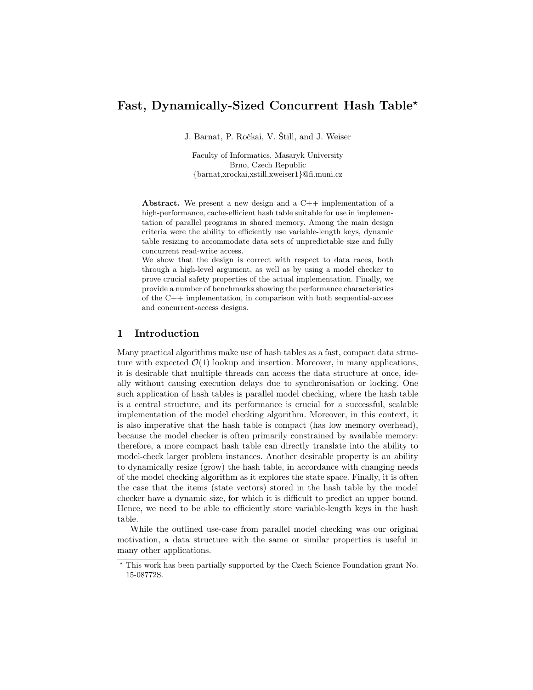# Fast, Dynamically-Sized Concurrent Hash Table?

J. Barnat, P. Ročkai, V. Štill, and J. Weiser

Faculty of Informatics, Masaryk University Brno, Czech Republic {barnat,xrockai,xstill,xweiser1}@fi.muni.cz

Abstract. We present a new design and a  $C++$  implementation of a high-performance, cache-efficient hash table suitable for use in implementation of parallel programs in shared memory. Among the main design criteria were the ability to efficiently use variable-length keys, dynamic table resizing to accommodate data sets of unpredictable size and fully concurrent read-write access.

We show that the design is correct with respect to data races, both through a high-level argument, as well as by using a model checker to prove crucial safety properties of the actual implementation. Finally, we provide a number of benchmarks showing the performance characteristics of the C++ implementation, in comparison with both sequential-access and concurrent-access designs.

# 1 Introduction

Many practical algorithms make use of hash tables as a fast, compact data structure with expected  $\mathcal{O}(1)$  lookup and insertion. Moreover, in many applications, it is desirable that multiple threads can access the data structure at once, ideally without causing execution delays due to synchronisation or locking. One such application of hash tables is parallel model checking, where the hash table is a central structure, and its performance is crucial for a successful, scalable implementation of the model checking algorithm. Moreover, in this context, it is also imperative that the hash table is compact (has low memory overhead), because the model checker is often primarily constrained by available memory: therefore, a more compact hash table can directly translate into the ability to model-check larger problem instances. Another desirable property is an ability to dynamically resize (grow) the hash table, in accordance with changing needs of the model checking algorithm as it explores the state space. Finally, it is often the case that the items (state vectors) stored in the hash table by the model checker have a dynamic size, for which it is difficult to predict an upper bound. Hence, we need to be able to efficiently store variable-length keys in the hash table.

While the outlined use-case from parallel model checking was our original motivation, a data structure with the same or similar properties is useful in many other applications.

<sup>?</sup> This work has been partially supported by the Czech Science Foundation grant No. 15-08772S.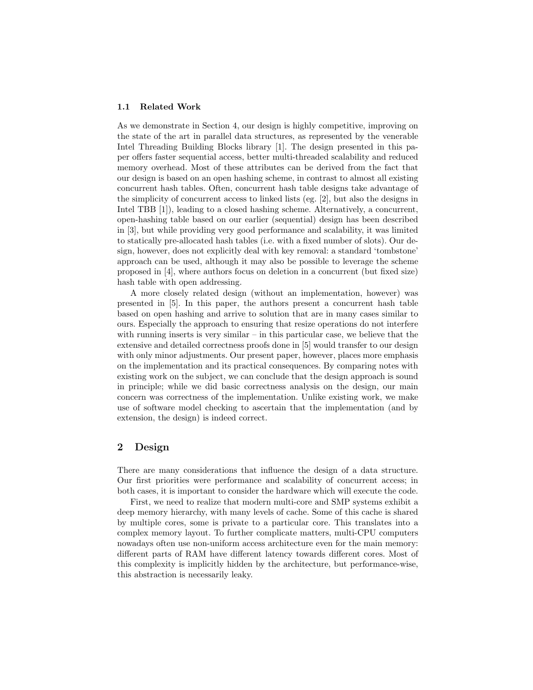#### 1.1 Related Work

As we demonstrate in Section 4, our design is highly competitive, improving on the state of the art in parallel data structures, as represented by the venerable Intel Threading Building Blocks library [1]. The design presented in this paper offers faster sequential access, better multi-threaded scalability and reduced memory overhead. Most of these attributes can be derived from the fact that our design is based on an open hashing scheme, in contrast to almost all existing concurrent hash tables. Often, concurrent hash table designs take advantage of the simplicity of concurrent access to linked lists (eg. [2], but also the designs in Intel TBB [1]), leading to a closed hashing scheme. Alternatively, a concurrent, open-hashing table based on our earlier (sequential) design has been described in [3], but while providing very good performance and scalability, it was limited to statically pre-allocated hash tables (i.e. with a fixed number of slots). Our design, however, does not explicitly deal with key removal: a standard 'tombstone' approach can be used, although it may also be possible to leverage the scheme proposed in [4], where authors focus on deletion in a concurrent (but fixed size) hash table with open addressing.

A more closely related design (without an implementation, however) was presented in [5]. In this paper, the authors present a concurrent hash table based on open hashing and arrive to solution that are in many cases similar to ours. Especially the approach to ensuring that resize operations do not interfere with running inserts is very similar – in this particular case, we believe that the extensive and detailed correctness proofs done in [5] would transfer to our design with only minor adjustments. Our present paper, however, places more emphasis on the implementation and its practical consequences. By comparing notes with existing work on the subject, we can conclude that the design approach is sound in principle; while we did basic correctness analysis on the design, our main concern was correctness of the implementation. Unlike existing work, we make use of software model checking to ascertain that the implementation (and by extension, the design) is indeed correct.

# 2 Design

There are many considerations that influence the design of a data structure. Our first priorities were performance and scalability of concurrent access; in both cases, it is important to consider the hardware which will execute the code.

First, we need to realize that modern multi-core and SMP systems exhibit a deep memory hierarchy, with many levels of cache. Some of this cache is shared by multiple cores, some is private to a particular core. This translates into a complex memory layout. To further complicate matters, multi-CPU computers nowadays often use non-uniform access architecture even for the main memory: different parts of RAM have different latency towards different cores. Most of this complexity is implicitly hidden by the architecture, but performance-wise, this abstraction is necessarily leaky.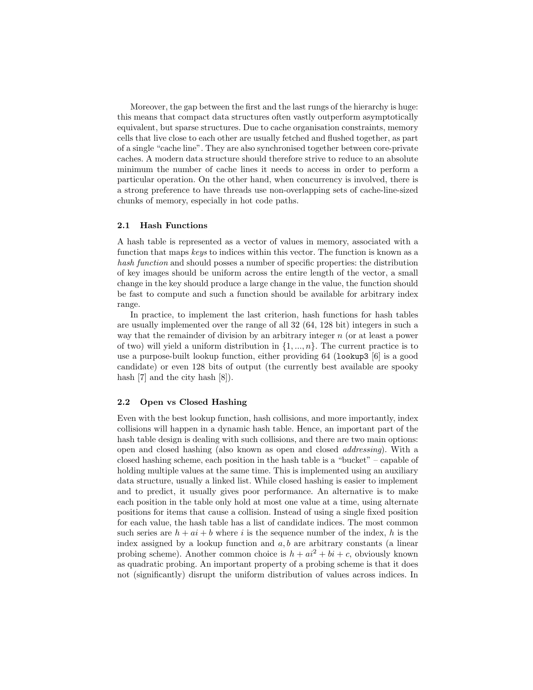Moreover, the gap between the first and the last rungs of the hierarchy is huge: this means that compact data structures often vastly outperform asymptotically equivalent, but sparse structures. Due to cache organisation constraints, memory cells that live close to each other are usually fetched and flushed together, as part of a single "cache line". They are also synchronised together between core-private caches. A modern data structure should therefore strive to reduce to an absolute minimum the number of cache lines it needs to access in order to perform a particular operation. On the other hand, when concurrency is involved, there is a strong preference to have threads use non-overlapping sets of cache-line-sized chunks of memory, especially in hot code paths.

# 2.1 Hash Functions

A hash table is represented as a vector of values in memory, associated with a function that maps keys to indices within this vector. The function is known as a hash function and should posses a number of specific properties: the distribution of key images should be uniform across the entire length of the vector, a small change in the key should produce a large change in the value, the function should be fast to compute and such a function should be available for arbitrary index range.

In practice, to implement the last criterion, hash functions for hash tables are usually implemented over the range of all 32 (64, 128 bit) integers in such a way that the remainder of division by an arbitrary integer  $n$  (or at least a power of two) will yield a uniform distribution in  $\{1, ..., n\}$ . The current practice is to use a purpose-built lookup function, either providing 64 (lookup3 [6] is a good candidate) or even 128 bits of output (the currently best available are spooky hash [7] and the city hash [8]).

# 2.2 Open vs Closed Hashing

Even with the best lookup function, hash collisions, and more importantly, index collisions will happen in a dynamic hash table. Hence, an important part of the hash table design is dealing with such collisions, and there are two main options: open and closed hashing (also known as open and closed addressing). With a closed hashing scheme, each position in the hash table is a "bucket" – capable of holding multiple values at the same time. This is implemented using an auxiliary data structure, usually a linked list. While closed hashing is easier to implement and to predict, it usually gives poor performance. An alternative is to make each position in the table only hold at most one value at a time, using alternate positions for items that cause a collision. Instead of using a single fixed position for each value, the hash table has a list of candidate indices. The most common such series are  $h + ai + b$  where i is the sequence number of the index, h is the index assigned by a lookup function and  $a, b$  are arbitrary constants (a linear probing scheme). Another common choice is  $h + ai^2 + bi + c$ , obviously known as quadratic probing. An important property of a probing scheme is that it does not (significantly) disrupt the uniform distribution of values across indices. In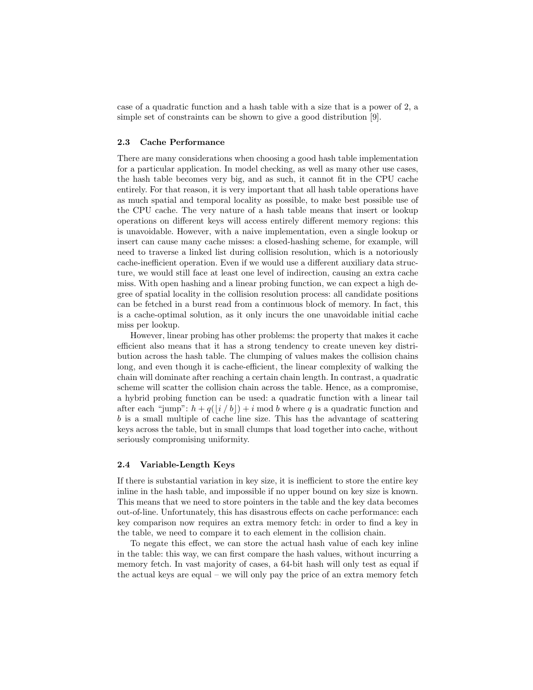case of a quadratic function and a hash table with a size that is a power of 2, a simple set of constraints can be shown to give a good distribution [9].

### 2.3 Cache Performance

There are many considerations when choosing a good hash table implementation for a particular application. In model checking, as well as many other use cases, the hash table becomes very big, and as such, it cannot fit in the CPU cache entirely. For that reason, it is very important that all hash table operations have as much spatial and temporal locality as possible, to make best possible use of the CPU cache. The very nature of a hash table means that insert or lookup operations on different keys will access entirely different memory regions: this is unavoidable. However, with a naive implementation, even a single lookup or insert can cause many cache misses: a closed-hashing scheme, for example, will need to traverse a linked list during collision resolution, which is a notoriously cache-inefficient operation. Even if we would use a different auxiliary data structure, we would still face at least one level of indirection, causing an extra cache miss. With open hashing and a linear probing function, we can expect a high degree of spatial locality in the collision resolution process: all candidate positions can be fetched in a burst read from a continuous block of memory. In fact, this is a cache-optimal solution, as it only incurs the one unavoidable initial cache miss per lookup.

However, linear probing has other problems: the property that makes it cache efficient also means that it has a strong tendency to create uneven key distribution across the hash table. The clumping of values makes the collision chains long, and even though it is cache-efficient, the linear complexity of walking the chain will dominate after reaching a certain chain length. In contrast, a quadratic scheme will scatter the collision chain across the table. Hence, as a compromise, a hybrid probing function can be used: a quadratic function with a linear tail after each "jump":  $h + q(|i / b|) + i \text{ mod } b$  where q is a quadratic function and b is a small multiple of cache line size. This has the advantage of scattering keys across the table, but in small clumps that load together into cache, without seriously compromising uniformity.

#### 2.4 Variable-Length Keys

If there is substantial variation in key size, it is inefficient to store the entire key inline in the hash table, and impossible if no upper bound on key size is known. This means that we need to store pointers in the table and the key data becomes out-of-line. Unfortunately, this has disastrous effects on cache performance: each key comparison now requires an extra memory fetch: in order to find a key in the table, we need to compare it to each element in the collision chain.

To negate this effect, we can store the actual hash value of each key inline in the table: this way, we can first compare the hash values, without incurring a memory fetch. In vast majority of cases, a 64-bit hash will only test as equal if the actual keys are equal – we will only pay the price of an extra memory fetch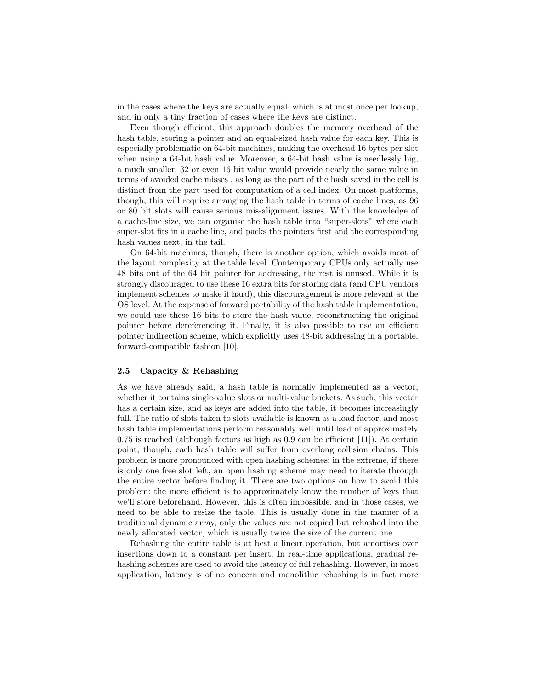in the cases where the keys are actually equal, which is at most once per lookup, and in only a tiny fraction of cases where the keys are distinct.

Even though efficient, this approach doubles the memory overhead of the hash table, storing a pointer and an equal-sized hash value for each key. This is especially problematic on 64-bit machines, making the overhead 16 bytes per slot when using a 64-bit hash value. Moreover, a 64-bit hash value is needlessly big, a much smaller, 32 or even 16 bit value would provide nearly the same value in terms of avoided cache misses , as long as the part of the hash saved in the cell is distinct from the part used for computation of a cell index. On most platforms, though, this will require arranging the hash table in terms of cache lines, as 96 or 80 bit slots will cause serious mis-alignment issues. With the knowledge of a cache-line size, we can organise the hash table into "super-slots" where each super-slot fits in a cache line, and packs the pointers first and the corresponding hash values next, in the tail.

On 64-bit machines, though, there is another option, which avoids most of the layout complexity at the table level. Contemporary CPUs only actually use 48 bits out of the 64 bit pointer for addressing, the rest is unused. While it is strongly discouraged to use these 16 extra bits for storing data (and CPU vendors implement schemes to make it hard), this discouragement is more relevant at the OS level. At the expense of forward portability of the hash table implementation, we could use these 16 bits to store the hash value, reconstructing the original pointer before dereferencing it. Finally, it is also possible to use an efficient pointer indirection scheme, which explicitly uses 48-bit addressing in a portable, forward-compatible fashion [10].

### 2.5 Capacity & Rehashing

As we have already said, a hash table is normally implemented as a vector, whether it contains single-value slots or multi-value buckets. As such, this vector has a certain size, and as keys are added into the table, it becomes increasingly full. The ratio of slots taken to slots available is known as a load factor, and most hash table implementations perform reasonably well until load of approximately 0.75 is reached (although factors as high as 0.9 can be efficient [11]). At certain point, though, each hash table will suffer from overlong collision chains. This problem is more pronounced with open hashing schemes: in the extreme, if there is only one free slot left, an open hashing scheme may need to iterate through the entire vector before finding it. There are two options on how to avoid this problem: the more efficient is to approximately know the number of keys that we'll store beforehand. However, this is often impossible, and in those cases, we need to be able to resize the table. This is usually done in the manner of a traditional dynamic array, only the values are not copied but rehashed into the newly allocated vector, which is usually twice the size of the current one.

Rehashing the entire table is at best a linear operation, but amortises over insertions down to a constant per insert. In real-time applications, gradual rehashing schemes are used to avoid the latency of full rehashing. However, in most application, latency is of no concern and monolithic rehashing is in fact more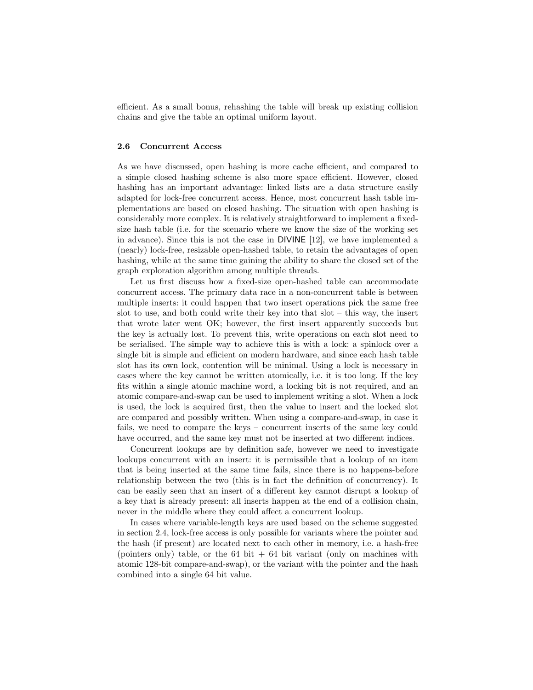efficient. As a small bonus, rehashing the table will break up existing collision chains and give the table an optimal uniform layout.

#### 2.6 Concurrent Access

As we have discussed, open hashing is more cache efficient, and compared to a simple closed hashing scheme is also more space efficient. However, closed hashing has an important advantage: linked lists are a data structure easily adapted for lock-free concurrent access. Hence, most concurrent hash table implementations are based on closed hashing. The situation with open hashing is considerably more complex. It is relatively straightforward to implement a fixedsize hash table (i.e. for the scenario where we know the size of the working set in advance). Since this is not the case in DIVINE [12], we have implemented a (nearly) lock-free, resizable open-hashed table, to retain the advantages of open hashing, while at the same time gaining the ability to share the closed set of the graph exploration algorithm among multiple threads.

Let us first discuss how a fixed-size open-hashed table can accommodate concurrent access. The primary data race in a non-concurrent table is between multiple inserts: it could happen that two insert operations pick the same free slot to use, and both could write their key into that  $slot - this$  way, the insert that wrote later went OK; however, the first insert apparently succeeds but the key is actually lost. To prevent this, write operations on each slot need to be serialised. The simple way to achieve this is with a lock: a spinlock over a single bit is simple and efficient on modern hardware, and since each hash table slot has its own lock, contention will be minimal. Using a lock is necessary in cases where the key cannot be written atomically, i.e. it is too long. If the key fits within a single atomic machine word, a locking bit is not required, and an atomic compare-and-swap can be used to implement writing a slot. When a lock is used, the lock is acquired first, then the value to insert and the locked slot are compared and possibly written. When using a compare-and-swap, in case it fails, we need to compare the keys – concurrent inserts of the same key could have occurred, and the same key must not be inserted at two different indices.

Concurrent lookups are by definition safe, however we need to investigate lookups concurrent with an insert: it is permissible that a lookup of an item that is being inserted at the same time fails, since there is no happens-before relationship between the two (this is in fact the definition of concurrency). It can be easily seen that an insert of a different key cannot disrupt a lookup of a key that is already present: all inserts happen at the end of a collision chain, never in the middle where they could affect a concurrent lookup.

In cases where variable-length keys are used based on the scheme suggested in section 2.4, lock-free access is only possible for variants where the pointer and the hash (if present) are located next to each other in memory, i.e. a hash-free (pointers only) table, or the  $64$  bit +  $64$  bit variant (only on machines with atomic 128-bit compare-and-swap), or the variant with the pointer and the hash combined into a single 64 bit value.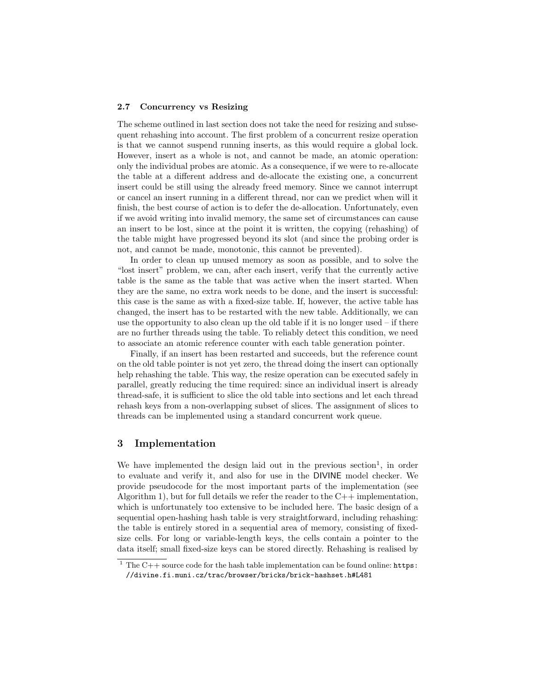### 2.7 Concurrency vs Resizing

The scheme outlined in last section does not take the need for resizing and subsequent rehashing into account. The first problem of a concurrent resize operation is that we cannot suspend running inserts, as this would require a global lock. However, insert as a whole is not, and cannot be made, an atomic operation: only the individual probes are atomic. As a consequence, if we were to re-allocate the table at a different address and de-allocate the existing one, a concurrent insert could be still using the already freed memory. Since we cannot interrupt or cancel an insert running in a different thread, nor can we predict when will it finish, the best course of action is to defer the de-allocation. Unfortunately, even if we avoid writing into invalid memory, the same set of circumstances can cause an insert to be lost, since at the point it is written, the copying (rehashing) of the table might have progressed beyond its slot (and since the probing order is not, and cannot be made, monotonic, this cannot be prevented).

In order to clean up unused memory as soon as possible, and to solve the "lost insert" problem, we can, after each insert, verify that the currently active table is the same as the table that was active when the insert started. When they are the same, no extra work needs to be done, and the insert is successful: this case is the same as with a fixed-size table. If, however, the active table has changed, the insert has to be restarted with the new table. Additionally, we can use the opportunity to also clean up the old table if it is no longer used – if there are no further threads using the table. To reliably detect this condition, we need to associate an atomic reference counter with each table generation pointer.

Finally, if an insert has been restarted and succeeds, but the reference count on the old table pointer is not yet zero, the thread doing the insert can optionally help rehashing the table. This way, the resize operation can be executed safely in parallel, greatly reducing the time required: since an individual insert is already thread-safe, it is sufficient to slice the old table into sections and let each thread rehash keys from a non-overlapping subset of slices. The assignment of slices to threads can be implemented using a standard concurrent work queue.

# 3 Implementation

We have implemented the design laid out in the previous section<sup>1</sup>, in order to evaluate and verify it, and also for use in the DIVINE model checker. We provide pseudocode for the most important parts of the implementation (see Algorithm 1), but for full details we refer the reader to the  $C++$  implementation, which is unfortunately too extensive to be included here. The basic design of a sequential open-hashing hash table is very straightforward, including rehashing: the table is entirely stored in a sequential area of memory, consisting of fixedsize cells. For long or variable-length keys, the cells contain a pointer to the data itself; small fixed-size keys can be stored directly. Rehashing is realised by

<sup>&</sup>lt;sup>1</sup> The C++ source code for the hash table implementation can be found online:  $https:$ //divine.fi.muni.cz/trac/browser/bricks/brick-hashset.h#L481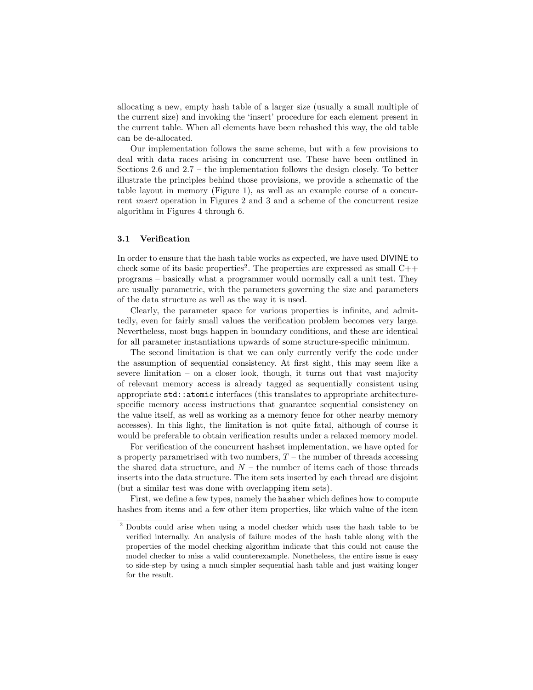allocating a new, empty hash table of a larger size (usually a small multiple of the current size) and invoking the 'insert' procedure for each element present in the current table. When all elements have been rehashed this way, the old table can be de-allocated.

Our implementation follows the same scheme, but with a few provisions to deal with data races arising in concurrent use. These have been outlined in Sections 2.6 and 2.7 – the implementation follows the design closely. To better illustrate the principles behind those provisions, we provide a schematic of the table layout in memory (Figure 1), as well as an example course of a concurrent insert operation in Figures 2 and 3 and a scheme of the concurrent resize algorithm in Figures 4 through 6.

### 3.1 Verification

In order to ensure that the hash table works as expected, we have used DIVINE to check some of its basic properties<sup>2</sup>. The properties are expressed as small  $C++$ programs – basically what a programmer would normally call a unit test. They are usually parametric, with the parameters governing the size and parameters of the data structure as well as the way it is used.

Clearly, the parameter space for various properties is infinite, and admittedly, even for fairly small values the verification problem becomes very large. Nevertheless, most bugs happen in boundary conditions, and these are identical for all parameter instantiations upwards of some structure-specific minimum.

The second limitation is that we can only currently verify the code under the assumption of sequential consistency. At first sight, this may seem like a severe limitation – on a closer look, though, it turns out that vast majority of relevant memory access is already tagged as sequentially consistent using appropriate std::atomic interfaces (this translates to appropriate architecturespecific memory access instructions that guarantee sequential consistency on the value itself, as well as working as a memory fence for other nearby memory accesses). In this light, the limitation is not quite fatal, although of course it would be preferable to obtain verification results under a relaxed memory model.

For verification of the concurrent hashset implementation, we have opted for a property parametrised with two numbers,  $T$  – the number of threads accessing the shared data structure, and  $N -$  the number of items each of those threads inserts into the data structure. The item sets inserted by each thread are disjoint (but a similar test was done with overlapping item sets).

First, we define a few types, namely the hasher which defines how to compute hashes from items and a few other item properties, like which value of the item

<sup>2</sup> Doubts could arise when using a model checker which uses the hash table to be verified internally. An analysis of failure modes of the hash table along with the properties of the model checking algorithm indicate that this could not cause the model checker to miss a valid counterexample. Nonetheless, the entire issue is easy to side-step by using a much simpler sequential hash table and just waiting longer for the result.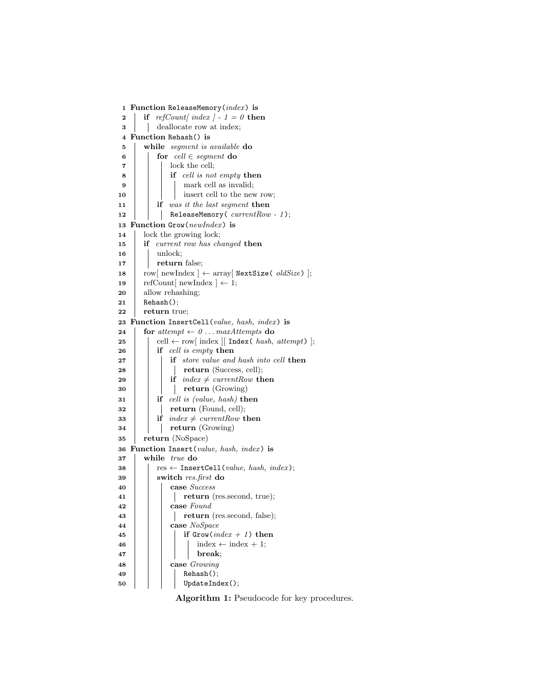```
1 Function ReleaseMemory(index) is
2 if refCount/index \mid -1 = 0 then
3 deallocate row at index;
 4 Function Rehash() is
5 | while segment is available do
6 for cell \in segment do
 7 lock the cell;
8 if cell is not empty then
9 | | | mark cell as invalid;
10 | | | insert cell to the new row;
11 if was it the last segment then
12 | ReleaseMemory( currentRow - 1);
13 Function Grow(newIndex) is
14 | lock the growing lock;
15 if current row has changed then
16 | unlock;
17 return false;
18 \vert row[ newIndex ] \leftarrow array[ NextSize( oldSize) ];
19 | refCount[ newIndex ] \leftarrow 1;20 allow rehashing;
21 Rehash();
22 return true;
23 Function InsertCell(value, hash, index) is
24 for attempt \leftarrow 0 \dots maxAttempts do
25 cell ← row[ index ][ Index( hash, attempt) ];
26 if cell is empty then
27 if store value and hash into cell then
28 | | | | return (Success, cell);
29 if index \neq currentRow then
30 | | | return (Growing)
31 if cell is (value, hash) then
32 | | return (Found, cell);
33 if index \neq currentRow then
34 | | return (Growing)
35 | return (NoSpace)
36 Function Insert(value, hash, index) is
37 while true do
38 \vert res \leftarrow InsertCell(value, hash, index);
39 | switch res.first do
40 | case Success
41 | | | return (res.second, true);
42 case Found
43 | | | | return (res.second, false);
44 \vert \vert \vert case NoSpace
45 | | | if Grow(index + 1) then
46 | | | | index \leftarrow index + 1;
47 | | | | break;
48 case Growing
49 | | | Rehash();
50 | | | UpdateIndex();
```
Algorithm 1: Pseudocode for key procedures.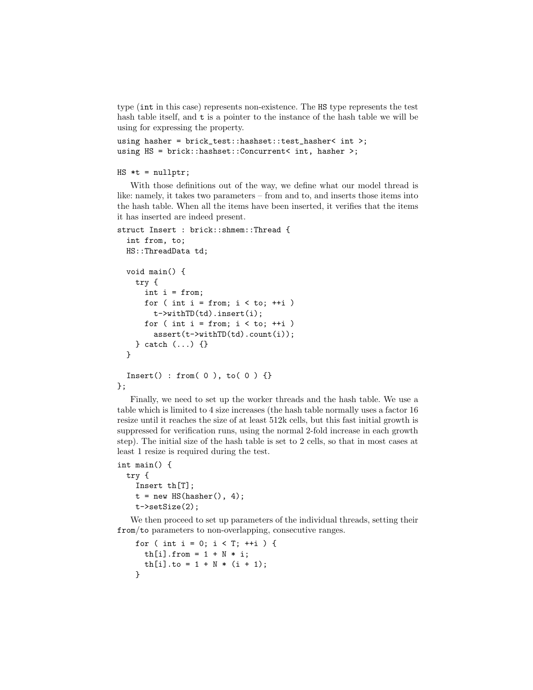type (int in this case) represents non-existence. The HS type represents the test hash table itself, and  $t$  is a pointer to the instance of the hash table we will be using for expressing the property.

```
using hasher = brick_test::hashset::test_hasher< int >;
using HS = brick::hashset::Concurrent< int, hasher >;
```
#### $HS *t = nullptr;$

With those definitions out of the way, we define what our model thread is like: namely, it takes two parameters – from and to, and inserts those items into the hash table. When all the items have been inserted, it verifies that the items it has inserted are indeed present.

```
struct Insert : brick::shmem::Thread {
  int from, to;
 HS::ThreadData td;
 void main() {
    try {
      int i = from;
      for ( int i = from; i < to; ++i )
        t->withTD(td).insert(i);
      for ( int i = from; i < to; ++i )
        assert(t->withTD(td).count(i));
    } catch (...) {}
  }
 Insert() : from( 0 ), to( 0 ) {}
};
```
Finally, we need to set up the worker threads and the hash table. We use a table which is limited to 4 size increases (the hash table normally uses a factor 16 resize until it reaches the size of at least 512k cells, but this fast initial growth is suppressed for verification runs, using the normal 2-fold increase in each growth step). The initial size of the hash table is set to 2 cells, so that in most cases at least 1 resize is required during the test.

```
int main() {
 try {
    Insert th[T];
    t = new HS(hasher(), 4);t->setSize(2);
```
We then proceed to set up parameters of the individual threads, setting their from/to parameters to non-overlapping, consecutive ranges.

```
for ( int i = 0; i < T; ++i ) {
 th[i].from = 1 + N * i;th[i].to = 1 + N * (i + 1);}
```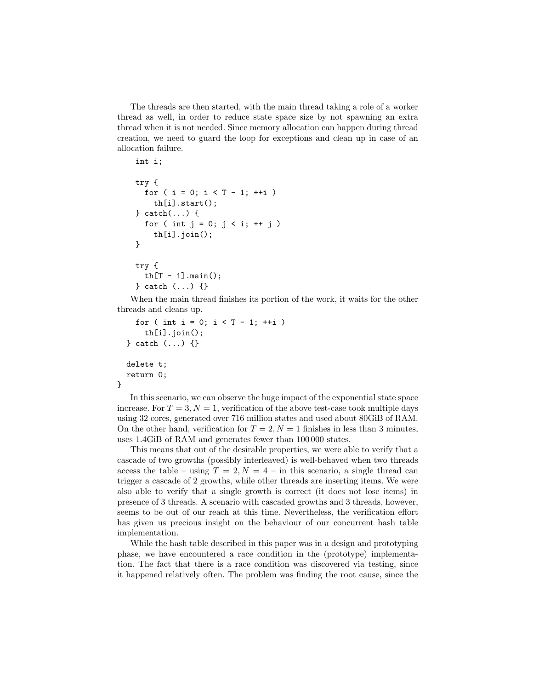The threads are then started, with the main thread taking a role of a worker thread as well, in order to reduce state space size by not spawning an extra thread when it is not needed. Since memory allocation can happen during thread creation, we need to guard the loop for exceptions and clean up in case of an allocation failure.

```
int i;
try {
 for ( i = 0; i < T - 1; ++i )
    th[i].start();
} catch(...) {
 for ( int j = 0; j < i; ++ j )
    th[i].join();
}
try {
  th[T - 1] . main();
} catch (...) {}
```
When the main thread finishes its portion of the work, it waits for the other threads and cleans up.

```
for ( int i = 0; i < T - 1; ++i )
    th[i].join();} catch (...) {}
delete t;
return 0;
```
}

In this scenario, we can observe the huge impact of the exponential state space increase. For  $T = 3, N = 1$ , verification of the above test-case took multiple days using 32 cores, generated over 716 million states and used about 80GiB of RAM. On the other hand, verification for  $T = 2, N = 1$  finishes in less than 3 minutes, uses 1.4GiB of RAM and generates fewer than 100 000 states.

This means that out of the desirable properties, we were able to verify that a cascade of two growths (possibly interleaved) is well-behaved when two threads access the table – using  $T = 2, N = 4$  – in this scenario, a single thread can trigger a cascade of 2 growths, while other threads are inserting items. We were also able to verify that a single growth is correct (it does not lose items) in presence of 3 threads. A scenario with cascaded growths and 3 threads, however, seems to be out of our reach at this time. Nevertheless, the verification effort has given us precious insight on the behaviour of our concurrent hash table implementation.

While the hash table described in this paper was in a design and prototyping phase, we have encountered a race condition in the (prototype) implementation. The fact that there is a race condition was discovered via testing, since it happened relatively often. The problem was finding the root cause, since the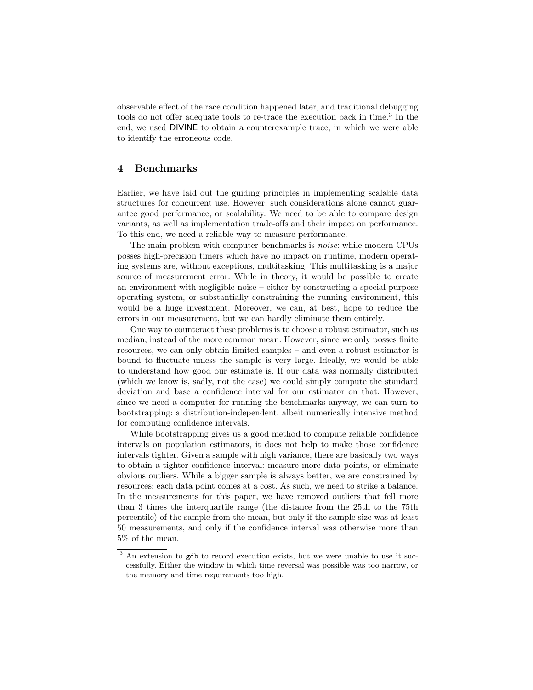observable effect of the race condition happened later, and traditional debugging tools do not offer adequate tools to re-trace the execution back in time.<sup>3</sup> In the end, we used DIVINE to obtain a counterexample trace, in which we were able to identify the erroneous code.

# 4 Benchmarks

Earlier, we have laid out the guiding principles in implementing scalable data structures for concurrent use. However, such considerations alone cannot guarantee good performance, or scalability. We need to be able to compare design variants, as well as implementation trade-offs and their impact on performance. To this end, we need a reliable way to measure performance.

The main problem with computer benchmarks is noise: while modern CPUs posses high-precision timers which have no impact on runtime, modern operating systems are, without exceptions, multitasking. This multitasking is a major source of measurement error. While in theory, it would be possible to create an environment with negligible noise – either by constructing a special-purpose operating system, or substantially constraining the running environment, this would be a huge investment. Moreover, we can, at best, hope to reduce the errors in our measurement, but we can hardly eliminate them entirely.

One way to counteract these problems is to choose a robust estimator, such as median, instead of the more common mean. However, since we only posses finite resources, we can only obtain limited samples – and even a robust estimator is bound to fluctuate unless the sample is very large. Ideally, we would be able to understand how good our estimate is. If our data was normally distributed (which we know is, sadly, not the case) we could simply compute the standard deviation and base a confidence interval for our estimator on that. However, since we need a computer for running the benchmarks anyway, we can turn to bootstrapping: a distribution-independent, albeit numerically intensive method for computing confidence intervals.

While bootstrapping gives us a good method to compute reliable confidence intervals on population estimators, it does not help to make those confidence intervals tighter. Given a sample with high variance, there are basically two ways to obtain a tighter confidence interval: measure more data points, or eliminate obvious outliers. While a bigger sample is always better, we are constrained by resources: each data point comes at a cost. As such, we need to strike a balance. In the measurements for this paper, we have removed outliers that fell more than 3 times the interquartile range (the distance from the 25th to the 75th percentile) of the sample from the mean, but only if the sample size was at least 50 measurements, and only if the confidence interval was otherwise more than 5% of the mean.

<sup>&</sup>lt;sup>3</sup> An extension to gdb to record execution exists, but we were unable to use it successfully. Either the window in which time reversal was possible was too narrow, or the memory and time requirements too high.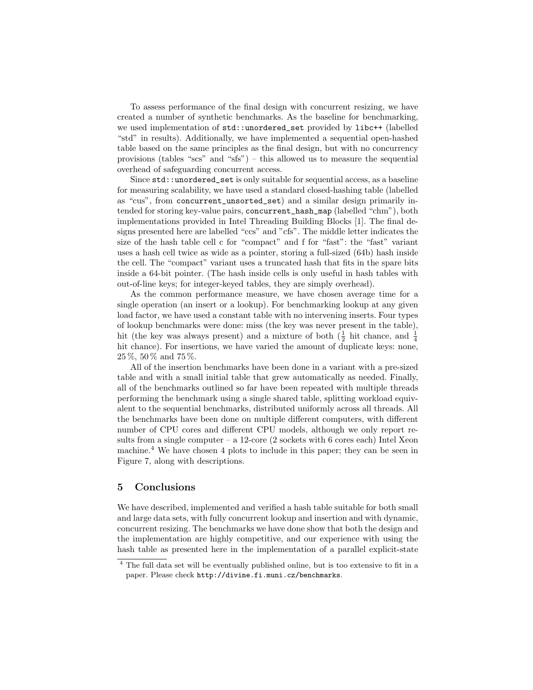To assess performance of the final design with concurrent resizing, we have created a number of synthetic benchmarks. As the baseline for benchmarking, we used implementation of std::unordered\_set provided by libc++ (labelled "std" in results). Additionally, we have implemented a sequential open-hashed table based on the same principles as the final design, but with no concurrency provisions (tables "scs" and "sfs") – this allowed us to measure the sequential overhead of safeguarding concurrent access.

Since std::unordered\_set is only suitable for sequential access, as a baseline for measuring scalability, we have used a standard closed-hashing table (labelled as "cus", from concurrent\_unsorted\_set) and a similar design primarily intended for storing key-value pairs, concurrent\_hash\_map (labelled "chm"), both implementations provided in Intel Threading Building Blocks [1]. The final designs presented here are labelled "ccs" and "cfs". The middle letter indicates the size of the hash table cell c for "compact" and f for "fast": the "fast" variant uses a hash cell twice as wide as a pointer, storing a full-sized (64b) hash inside the cell. The "compact" variant uses a truncated hash that fits in the spare bits inside a 64-bit pointer. (The hash inside cells is only useful in hash tables with out-of-line keys; for integer-keyed tables, they are simply overhead).

As the common performance measure, we have chosen average time for a single operation (an insert or a lookup). For benchmarking lookup at any given load factor, we have used a constant table with no intervening inserts. Four types of lookup benchmarks were done: miss (the key was never present in the table), hit (the key was always present) and a mixture of both  $(\frac{1}{2})$  hit chance, and  $\frac{1}{4}$ hit chance). For insertions, we have varied the amount of duplicate keys: none, 25 %, 50 % and 75 %.

All of the insertion benchmarks have been done in a variant with a pre-sized table and with a small initial table that grew automatically as needed. Finally, all of the benchmarks outlined so far have been repeated with multiple threads performing the benchmark using a single shared table, splitting workload equivalent to the sequential benchmarks, distributed uniformly across all threads. All the benchmarks have been done on multiple different computers, with different number of CPU cores and different CPU models, although we only report results from a single computer – a  $12$ -core  $(2 \text{ sockets with } 6 \text{ cores each})$  Intel Xeon machine.<sup>4</sup> We have chosen 4 plots to include in this paper; they can be seen in Figure 7, along with descriptions.

# 5 Conclusions

We have described, implemented and verified a hash table suitable for both small and large data sets, with fully concurrent lookup and insertion and with dynamic, concurrent resizing. The benchmarks we have done show that both the design and the implementation are highly competitive, and our experience with using the hash table as presented here in the implementation of a parallel explicit-state

<sup>4</sup> The full data set will be eventually published online, but is too extensive to fit in a paper. Please check http://divine.fi.muni.cz/benchmarks.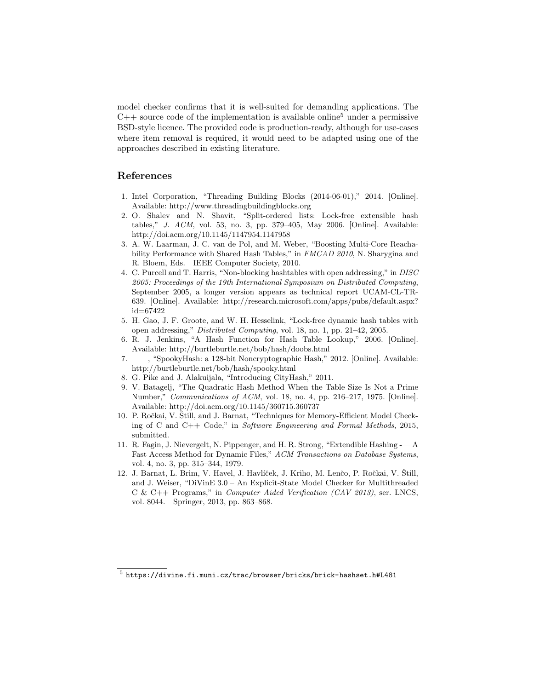model checker confirms that it is well-suited for demanding applications. The  $C++$  source code of the implementation is available online<sup>5</sup> under a permissive BSD-style licence. The provided code is production-ready, although for use-cases where item removal is required, it would need to be adapted using one of the approaches described in existing literature.

# References

- 1. Intel Corporation, "Threading Building Blocks (2014-06-01)," 2014. [Online]. Available: http://www.threadingbuildingblocks.org
- 2. O. Shalev and N. Shavit, "Split-ordered lists: Lock-free extensible hash tables," J. ACM, vol. 53, no. 3, pp. 379–405, May 2006. [Online]. Available: http://doi.acm.org/10.1145/1147954.1147958
- 3. A. W. Laarman, J. C. van de Pol, and M. Weber, "Boosting Multi-Core Reachability Performance with Shared Hash Tables," in FMCAD 2010, N. Sharygina and R. Bloem, Eds. IEEE Computer Society, 2010.
- 4. C. Purcell and T. Harris, "Non-blocking hashtables with open addressing," in DISC 2005: Proceedings of the 19th International Symposium on Distributed Computing, September 2005, a longer version appears as technical report UCAM-CL-TR-639. [Online]. Available: http://research.microsoft.com/apps/pubs/default.aspx?  $id = 67422$
- 5. H. Gao, J. F. Groote, and W. H. Hesselink, "Lock-free dynamic hash tables with open addressing," Distributed Computing, vol. 18, no. 1, pp. 21–42, 2005.
- 6. R. J. Jenkins, "A Hash Function for Hash Table Lookup," 2006. [Online]. Available: http://burtleburtle.net/bob/hash/doobs.html
- 7. ——, "SpookyHash: a 128-bit Noncryptographic Hash," 2012. [Online]. Available: http://burtleburtle.net/bob/hash/spooky.html
- 8. G. Pike and J. Alakuijala, "Introducing CityHash," 2011.
- 9. V. Batagelj, "The Quadratic Hash Method When the Table Size Is Not a Prime Number," Communications of ACM, vol. 18, no. 4, pp. 216–217, 1975. [Online]. Available: http://doi.acm.org/10.1145/360715.360737
- 10. P. Ročkai, V. Štill, and J. Barnat, "Techniques for Memory-Efficient Model Checking of C and C++ Code," in Software Engineering and Formal Methods, 2015, submitted.
- 11. R. Fagin, J. Nievergelt, N. Pippenger, and H. R. Strong, "Extendible Hashing -— A Fast Access Method for Dynamic Files," ACM Transactions on Database Systems, vol. 4, no. 3, pp. 315–344, 1979.
- 12. J. Barnat, L. Brim, V. Havel, J. Havlíček, J. Kriho, M. Lenčo, P. Ročkai, V. Štill, and J. Weiser, "DiVinE 3.0 – An Explicit-State Model Checker for Multithreaded C & C++ Programs," in Computer Aided Verification (CAV 2013), ser. LNCS, vol. 8044. Springer, 2013, pp. 863–868.

 $^5$  https://divine.fi.muni.cz/trac/browser/bricks/brick-hashset.h#L481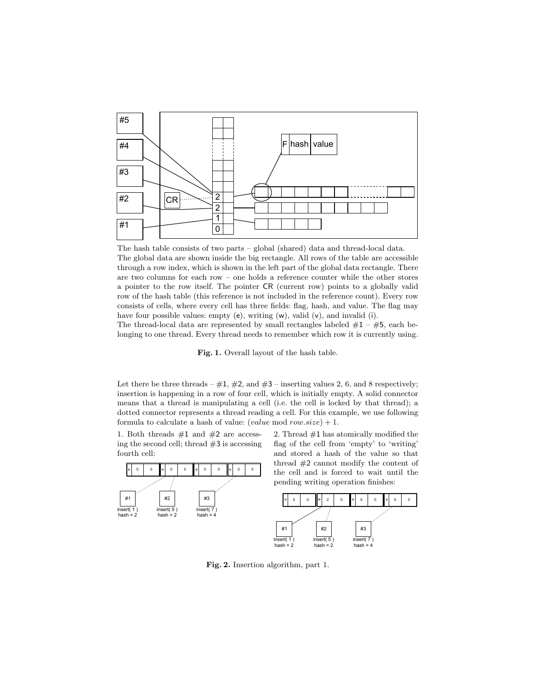

The hash table consists of two parts – global (shared) data and thread-local data.

The global data are shown inside the big rectangle. All rows of the table are accessible through a row index, which is shown in the left part of the global data rectangle. There are two columns for each row – one holds a reference counter while the other stores a pointer to the row itself. The pointer CR (current row) points to a globally valid row of the hash table (this reference is not included in the reference count). Every row consists of cells, where every cell has three fields: flag, hash, and value. The flag may have four possible values: empty  $(e)$ , writing  $(w)$ , valid  $(v)$ , and invalid (i).

The thread-local data are represented by small rectangles labeled  $#1 - #5$ , each belonging to one thread. Every thread needs to remember which row it is currently using.

Fig. 1. Overall layout of the hash table.

Let there be three threads –  $\#1$ ,  $\#2$ , and  $\#3$  – inserting values 2, 6, and 8 respectively; insertion is happening in a row of four cell, which is initially empty. A solid connector means that a thread is manipulating a cell (i.e. the cell is locked by that thread); a dotted connector represents a thread reading a cell. For this example, we use following formula to calculate a hash of value:  $(value \mod row.size) + 1$ .

1. Both threads  $#1$  and  $#2$  are accessing the second cell; thread  $#3$  is accessing fourth cell:



2. Thread #1 has atomically modified the flag of the cell from 'empty' to 'writing' and stored a hash of the value so that thread #2 cannot modify the content of the cell and is forced to wait until the pending writing operation finishes:



Fig. 2. Insertion algorithm, part 1.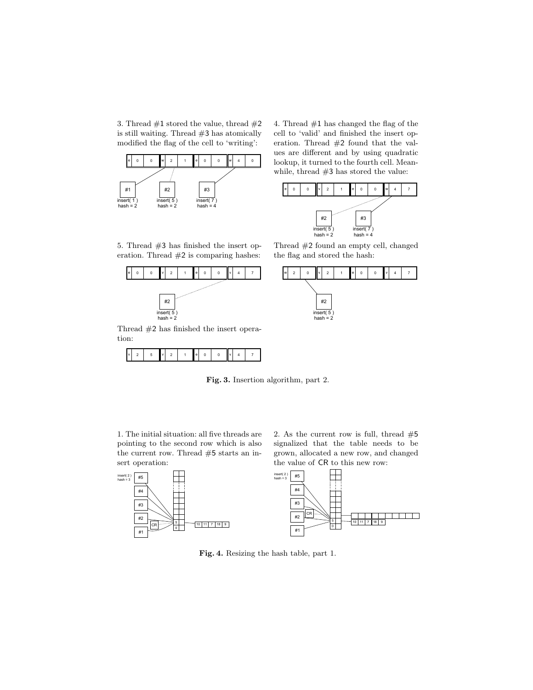3. Thread  $#1$  stored the value, thread  $#2$ is still waiting. Thread #3 has atomically modified the flag of the cell to 'writing':



4. Thread  $#1$  has changed the flag of the cell to 'valid' and finished the insert operation. Thread #2 found that the values are different and by using quadratic lookup, it turned to the fourth cell. Meanwhile, thread  $#3$  has stored the value:



5. Thread #3 has finished the insert operation. Thread  $#2$  is comparing hashes:







Thread #2 has finished the insert operation:

|--|--|

Fig. 3. Insertion algorithm, part 2.

1. The initial situation: all five threads are pointing to the second row which is also the current row. Thread  $#5$  starts an insert operation:





Fig. 4. Resizing the hash table, part 1.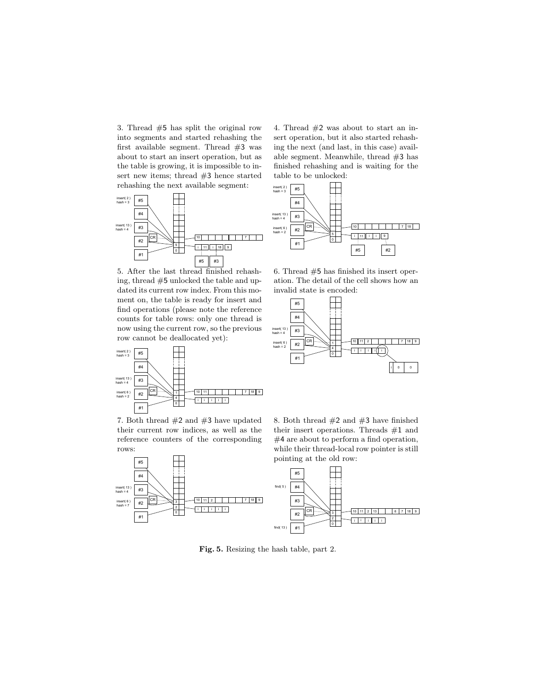3. Thread  $#5$  has split the original row into segments and started rehashing the first available segment. Thread  $#3$  was about to start an insert operation, but as the table is growing, it is impossible to insert new items; thread #3 hence started rehashing the next available segment:



5. After the last thread finished rehashing, thread #5 unlocked the table and updated its current row index. From this moment on, the table is ready for insert and find operations (please note the reference counts for table rows: only one thread is now using the current row, so the previous row cannot be deallocated yet):



7. Both thread #2 and #3 have updated their current row indices, as well as the reference counters of the corresponding rows:



4. Thread #2 was about to start an insert operation, but it also started rehashing the next (and last, in this case) available segment. Meanwhile, thread #3 has finished rehashing and is waiting for the table to be unlocked:



6. Thread  $#5$  has finished its insert operation. The detail of the cell shows how an invalid state is encoded:



8. Both thread  $#2$  and  $#3$  have finished their insert operations. Threads #1 and #4 are about to perform a find operation, while their thread-local row pointer is still pointing at the old row:



Fig. 5. Resizing the hash table, part 2.